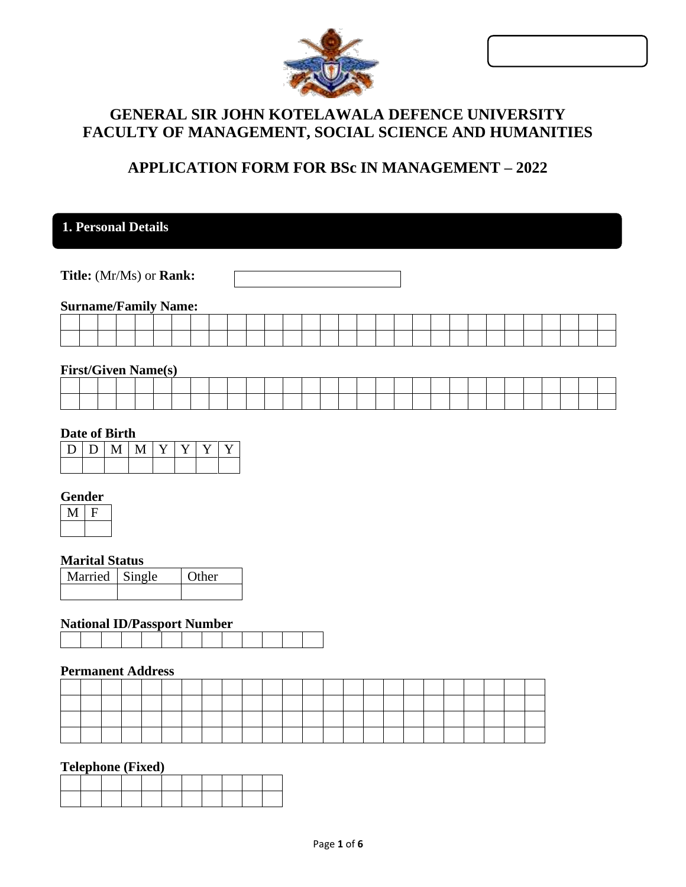| ø. |  |
|----|--|
|    |  |

| <b>GENERAL SIR JOHN KOTELAWALA DEFENCE UNIVERSITY</b> |
|-------------------------------------------------------|
| FACULTY OF MANAGEMENT, SOCIAL SCIENCE AND HUMANITIES  |

# **APPLICATION FORM FOR BSc IN MANAGEMENT – 2022**

# **1. Personal Details**

**Title:** (Mr/Ms) or **Rank:**

#### **Surname/Family Name:**

|  |  |  |  |  |  |  | the contract of the contract of the contract of the contract of the contract of the contract of the contract of |  |  |  |  | the contract of the contract of the contract of the contract of the contract of the contract of the contract of |  | the contract of the contract of the contract of the contract of the contract of |
|--|--|--|--|--|--|--|-----------------------------------------------------------------------------------------------------------------|--|--|--|--|-----------------------------------------------------------------------------------------------------------------|--|---------------------------------------------------------------------------------|

### **First/Given Name(s)**

|  |  |  |  |  |                                                                                                                 |                                                                                     |  |  |  |  |  |  |  | the contract of the contract of the contract of the contract of the contract of the contract of the contract of |  |
|--|--|--|--|--|-----------------------------------------------------------------------------------------------------------------|-------------------------------------------------------------------------------------|--|--|--|--|--|--|--|-----------------------------------------------------------------------------------------------------------------|--|
|  |  |  |  |  | the contract of the contract of the contract of the contract of the contract of the contract of the contract of | and the contract of the contract of the contract of the contract of the contract of |  |  |  |  |  |  |  | the contract of the contract of the contract of the contract of the contract of the contract of the contract of |  |

## **Date of Birth**

|  | $ D D M M Y Y \overline{Y}$ |  |  |  |
|--|-----------------------------|--|--|--|
|  |                             |  |  |  |

### **Gender**

### **Marital Status**

| Married Single | <b>Other</b> |
|----------------|--------------|
|                |              |

# **National ID/Passport Number**

### **Permanent Address**

#### **Telephone (Fixed)**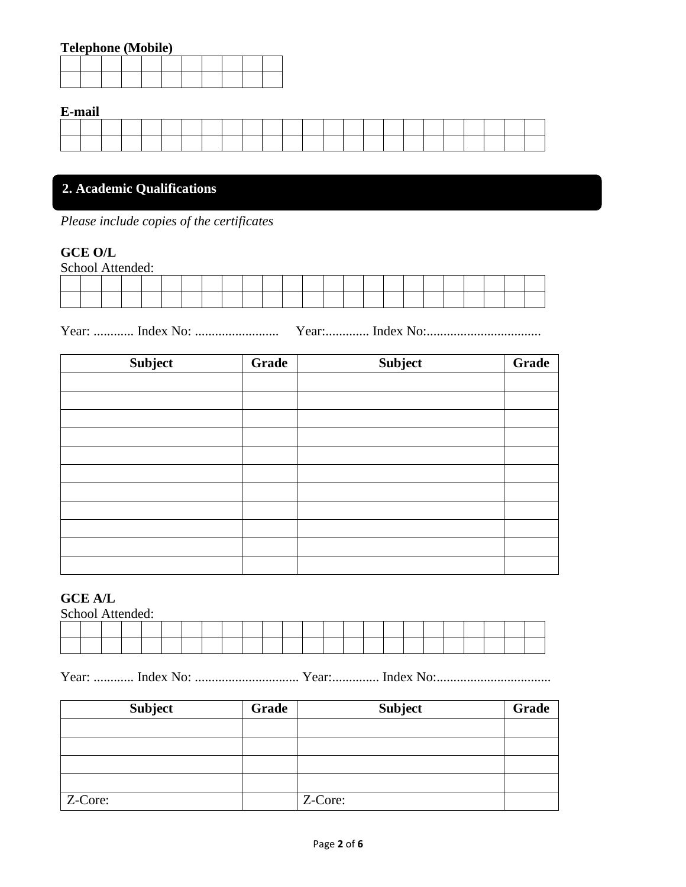# **Telephone (Mobile)**

#### **E-mail**

| ---------- |  |  |  |  |  |  |  |  |  |  |  |
|------------|--|--|--|--|--|--|--|--|--|--|--|
|            |  |  |  |  |  |  |  |  |  |  |  |
|            |  |  |  |  |  |  |  |  |  |  |  |
|            |  |  |  |  |  |  |  |  |  |  |  |
|            |  |  |  |  |  |  |  |  |  |  |  |
|            |  |  |  |  |  |  |  |  |  |  |  |

# **2. Academic Qualifications**

*Please include copies of the certificates*

## **GCE O/L**

| School Attended: |  |  |  |  |  |  |  |  |  |  |  |
|------------------|--|--|--|--|--|--|--|--|--|--|--|
|                  |  |  |  |  |  |  |  |  |  |  |  |
|                  |  |  |  |  |  |  |  |  |  |  |  |

Year: ............ Index No: ......................... Year:............. Index No:..................................

| Subject | <b>Grade</b> | Subject | Grade |
|---------|--------------|---------|-------|
|         |              |         |       |
|         |              |         |       |
|         |              |         |       |
|         |              |         |       |
|         |              |         |       |
|         |              |         |       |
|         |              |         |       |
|         |              |         |       |
|         |              |         |       |
|         |              |         |       |
|         |              |         |       |

# **GCE A/L**

| School Attended: |  |  |  |  |  |  |  |  |  |  |  |
|------------------|--|--|--|--|--|--|--|--|--|--|--|
|                  |  |  |  |  |  |  |  |  |  |  |  |
|                  |  |  |  |  |  |  |  |  |  |  |  |

Year: ............ Index No: ............................... Year:.............. Index No:..................................

| <b>Subject</b> | Grade | <b>Subject</b> | <b>Grade</b> |
|----------------|-------|----------------|--------------|
|                |       |                |              |
|                |       |                |              |
|                |       |                |              |
|                |       |                |              |
| Z-Core:        |       | Z-Core:        |              |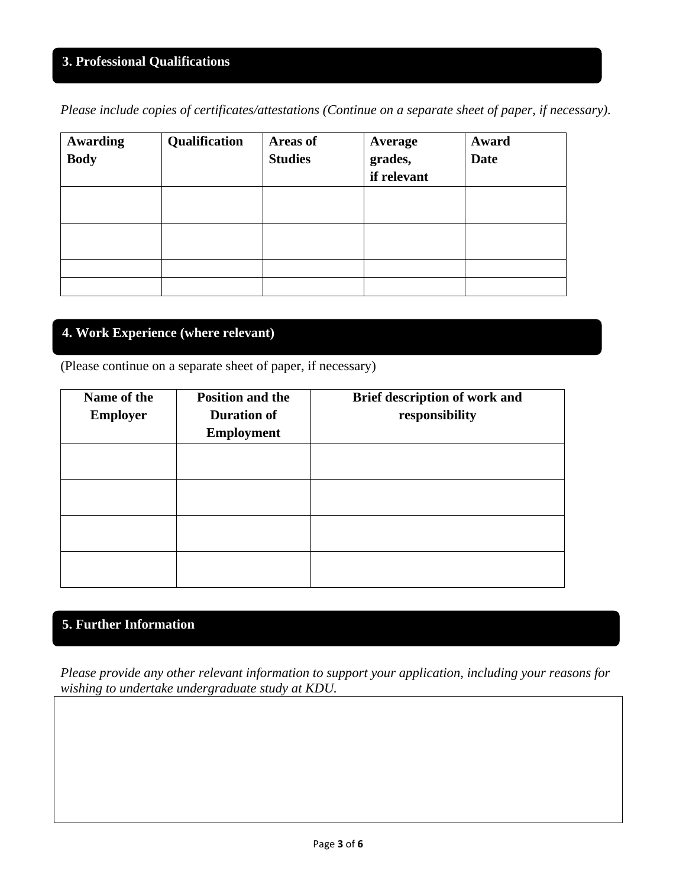# **3. Professional Qualifications**

*Please include copies of certificates/attestations (Continue on a separate sheet of paper, if necessary).*

| <b>Awarding</b><br><b>Body</b> | Qualification | Areas of<br><b>Studies</b> | Average<br>grades,<br>if relevant | Award<br><b>Date</b> |
|--------------------------------|---------------|----------------------------|-----------------------------------|----------------------|
|                                |               |                            |                                   |                      |
|                                |               |                            |                                   |                      |
|                                |               |                            |                                   |                      |
|                                |               |                            |                                   |                      |

# **4. Work Experience (where relevant)**

(Please continue on a separate sheet of paper, if necessary)

| Name of the<br><b>Employer</b> | <b>Position and the</b><br><b>Duration of</b><br><b>Employment</b> | Brief description of work and<br>responsibility |
|--------------------------------|--------------------------------------------------------------------|-------------------------------------------------|
|                                |                                                                    |                                                 |
|                                |                                                                    |                                                 |
|                                |                                                                    |                                                 |
|                                |                                                                    |                                                 |

# **5. Further Information**

*Please provide any other relevant information to support your application, including your reasons for wishing to undertake undergraduate study at KDU.*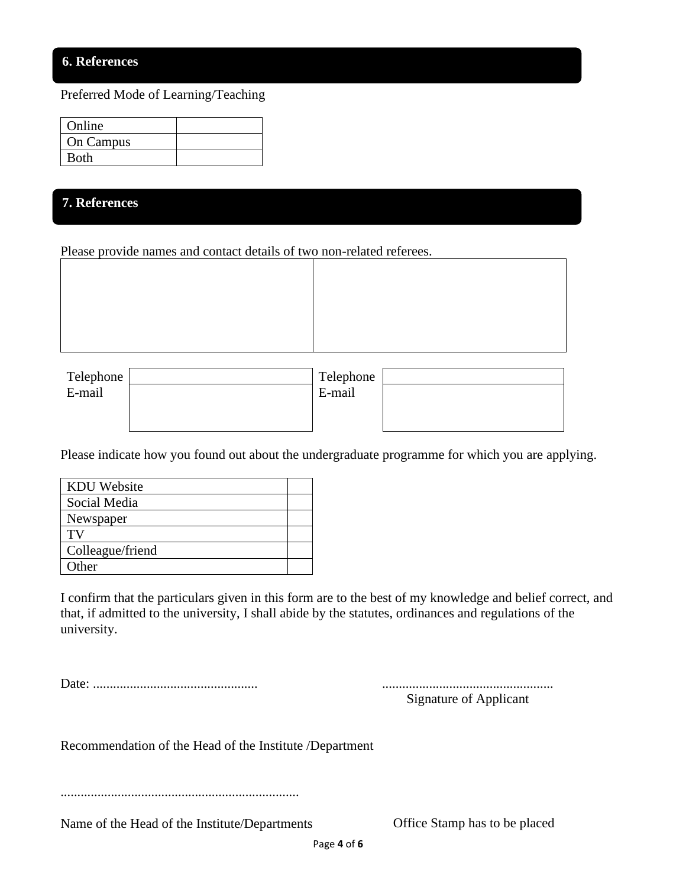## **6. References**

Preferred Mode of Learning/Teaching

| Online      |  |
|-------------|--|
| On Campus   |  |
| <b>Both</b> |  |

## 7 **7. References**

Please provide names and contact details of two non-related referees.

| Telephone | Telephone |  |
|-----------|-----------|--|
| E-mail    | E-mail    |  |
|           |           |  |
|           |           |  |

Please indicate how you found out about the undergraduate programme for which you are applying.

| <b>KDU</b> Website |  |
|--------------------|--|
| Social Media       |  |
| Newspaper          |  |
| TV                 |  |
| Colleague/friend   |  |
| Other              |  |

I confirm that the particulars given in this form are to the best of my knowledge and belief correct, and that, if admitted to the university, I shall abide by the statutes, ordinances and regulations of the university.

Date: ................................................. ...................................................

Signature of Applicant

Recommendation of the Head of the Institute /Department

.......................................................................

Name of the Head of the Institute/Departments Office Stamp has to be placed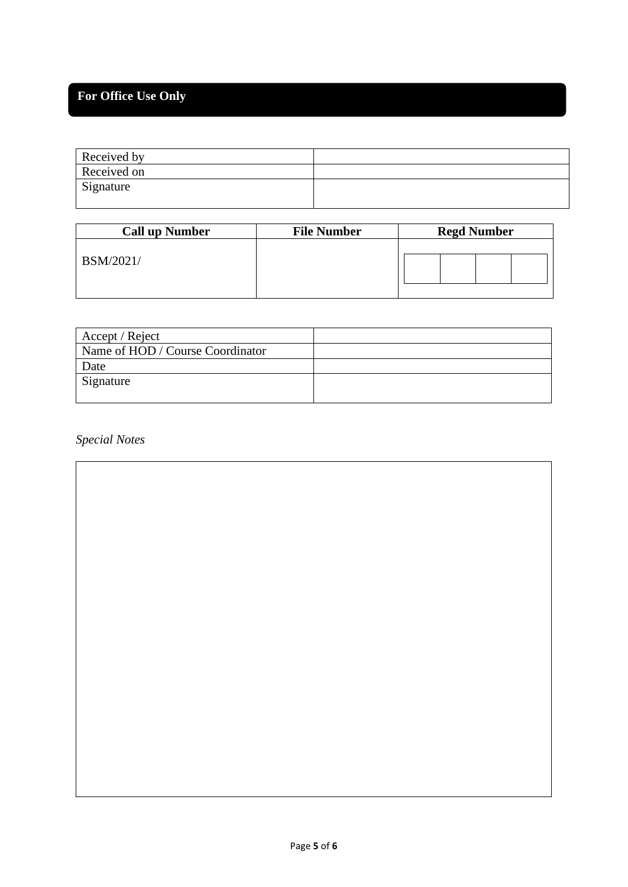# **For Office Use Only**

| Received by |  |
|-------------|--|
| Received on |  |
| Signature   |  |
|             |  |

| <b>Call up Number</b> | <b>File Number</b> | <b>Regd Number</b> |
|-----------------------|--------------------|--------------------|
| <b>BSM/2021/</b>      |                    |                    |

| Accept / Reject                  |  |
|----------------------------------|--|
| Name of HOD / Course Coordinator |  |
| Date                             |  |
| Signature                        |  |
|                                  |  |

*Special Notes*